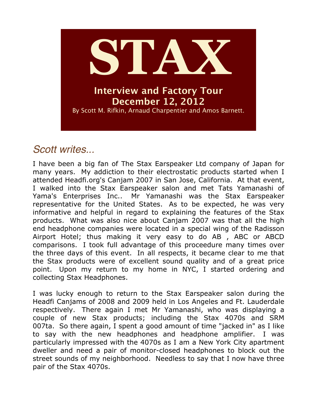

# *Scott writes...*

I have been a big fan of The Stax Earspeaker Ltd company of Japan for many years. My addiction to their electrostatic products started when I attended Headfi.org's Canjam 2007 in San Jose, California. At that event, I walked into the Stax Earspeaker salon and met Tats Yamanashi of Yama's Enterprises Inc.. Mr Yamanashi was the Stax Earspeaker representative for the United States. As to be expected, he was very informative and helpful in regard to explaining the features of the Stax products. What was also nice about Canjam 2007 was that all the high end headphone companies were located in a special wing of the Radisson Airport Hotel; thus making it very easy to do AB , ABC or ABCD comparisons. I took full advantage of this proceedure many times over the three days of this event. In all respects, it became clear to me that the Stax products were of excellent sound quality and of a great price point. Upon my return to my home in NYC, I started ordering and collecting Stax Headphones.

I was lucky enough to return to the Stax Earspeaker salon during the Headfi Canjams of 2008 and 2009 held in Los Angeles and Ft. Lauderdale respectively. There again I met Mr Yamanashi, who was displaying a couple of new Stax products; including the Stax 4070s and SRM 007ta. So there again, I spent a good amount of time "jacked in" as I like to say with the new headphones and headphone amplifier. I was particularly impressed with the 4070s as I am a New York City apartment dweller and need a pair of monitor-closed headphones to block out the street sounds of my neighborhood. Needless to say that I now have three pair of the Stax 4070s.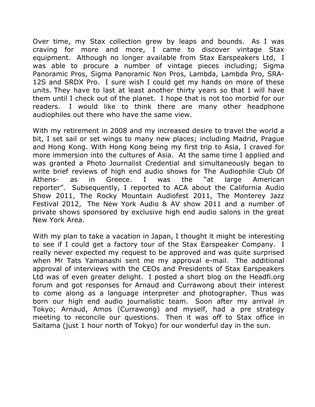Over time, my Stax collection grew by leaps and bounds. As I was craving for more and more, I came to discover vintage Stax equipment. Although no longer available from Stax Earspeakers Ltd, I was able to procure a number of vintage pieces including; Sigma Panoramic Pros, Sigma Panoramic Non Pros, Lambda, Lambda Pro, SRA-12S and SRDX Pro. I sure wish I could get my hands on more of these units. They have to last at least another thirty years so that I will have them until I check out of the planet. I hope that is not too morbid for our readers. I would like to think there are many other headphone audiophiles out there who have the same view.

With my retirement in 2008 and my increased desire to travel the world a bit, I set sail or set wings to many new places; including Madrid, Prague and Hong Kong. With Hong Kong being my first trip to Asia, I craved for more immersion into the cultures of Asia. At the same time I applied and was granted a Photo Journalist Credential and simultaneously began to write brief reviews of high end audio shows for The Audiophile Club Of Athens- as in Greece. I was the "at large American reporter". Subsequently, I reported to ACA about the California Audio Show 2011, The Rocky Mountain Audiofest 2011, The Monterey Jazz Festival 2012, The New York Audio & AV show 2011 and a number of private shows sponsored by exclusive high end audio salons in the great New York Area.

With my plan to take a vacation in Japan, I thought it might be interesting to see if I could get a factory tour of the Stax Earspeaker Company. I really never expected my request to be approved and was quite surprised when Mr Tats Yamanashi sent me my approval e-mail. The additional approval of interviews with the CEOs and Presidents of Stax Earspeakers Ltd was of even greater delight. I posted a short blog on the Headfi.org forum and got responses for Arnaud and Currawong about their interest to come along as a language interpreter and photographer. Thus was born our high end audio journalistic team. Soon after my arrival in Tokyo; Arnaud, Amos (Currawong) and myself, had a pre strategy meeting to reconcile our questions. Then it was off to Stax office in Saitama (just 1 hour north of Tokyo) for our wonderful day in the sun.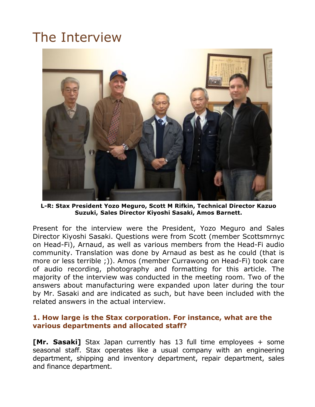# The Interview



**L-R: Stax President Yozo Meguro, Scott M Rifkin, Technical Director Kazuo Suzuki, Sales Director Kiyoshi Sasaki, Amos Barnett.**

Present for the interview were the President, Yozo Meguro and Sales Director Kiyoshi Sasaki. Questions were from Scott (member Scottsmrnyc on Head-Fi), Arnaud, as well as various members from the Head-Fi audio community. Translation was done by Arnaud as best as he could (that is more or less terrible ;)). Amos (member Currawong on Head-Fi) took care of audio recording, photography and formatting for this article. The majority of the interview was conducted in the meeting room. Two of the answers about manufacturing were expanded upon later during the tour by Mr. Sasaki and are indicated as such, but have been included with the related answers in the actual interview.

# **1. How large is the Stax corporation. For instance, what are the various departments and allocated staff?**

**[Mr. Sasaki]** Stax Japan currently has 13 full time employees + some seasonal staff. Stax operates like a usual company with an engineering department, shipping and inventory department, repair department, sales and finance department.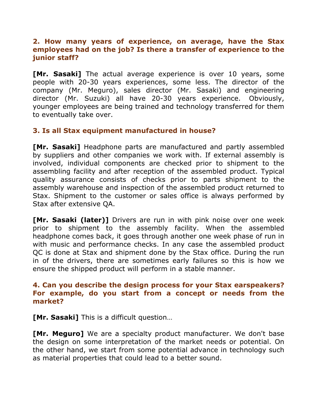# **2. How many years of experience, on average, have the Stax employees had on the job? Is there a transfer of experience to the junior staff?**

**[Mr. Sasaki]** The actual average experience is over 10 years, some people with 20-30 years experiences, some less. The director of the company (Mr. Meguro), sales director (Mr. Sasaki) and engineering director (Mr. Suzuki) all have 20-30 years experience. Obviously, younger employees are being trained and technology transferred for them to eventually take over.

# **3. Is all Stax equipment manufactured in house?**

**[Mr. Sasaki]** Headphone parts are manufactured and partly assembled by suppliers and other companies we work with. If external assembly is involved, individual components are checked prior to shipment to the assembling facility and after reception of the assembled product. Typical quality assurance consists of checks prior to parts shipment to the assembly warehouse and inspection of the assembled product returned to Stax. Shipment to the customer or sales office is always performed by Stax after extensive QA.

**[Mr. Sasaki (later)]** Drivers are run in with pink noise over one week prior to shipment to the assembly facility. When the assembled headphone comes back, it goes through another one week phase of run in with music and performance checks. In any case the assembled product QC is done at Stax and shipment done by the Stax office. During the run in of the drivers, there are sometimes early failures so this is how we ensure the shipped product will perform in a stable manner.

# **4. Can you describe the design process for your Stax earspeakers? For example, do you start from a concept or needs from the market?**

**[Mr. Sasaki]** This is a difficult question…

**[Mr. Meguro]** We are a specialty product manufacturer. We don't base the design on some interpretation of the market needs or potential. On the other hand, we start from some potential advance in technology such as material properties that could lead to a better sound.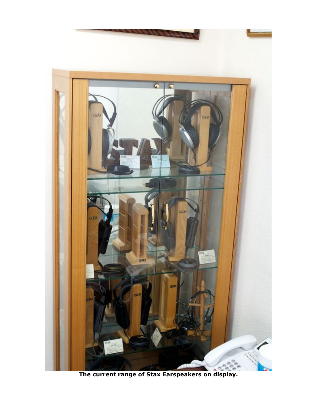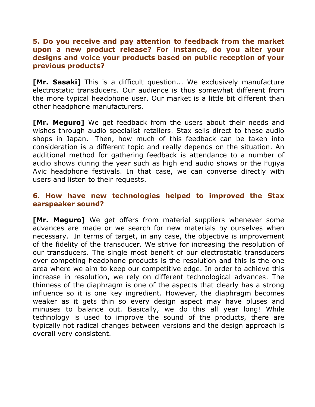# **5. Do you receive and pay attention to feedback from the market upon a new product release? For instance, do you alter your designs and voice your products based on public reception of your previous products?**

**[Mr. Sasaki]** This is a difficult question... We exclusively manufacture electrostatic transducers. Our audience is thus somewhat different from the more typical headphone user. Our market is a little bit different than other headphone manufacturers.

**[Mr. Meguro]** We get feedback from the users about their needs and wishes through audio specialist retailers. Stax sells direct to these audio shops in Japan. Then, how much of this feedback can be taken into consideration is a different topic and really depends on the situation. An additional method for gathering feedback is attendance to a number of audio shows during the year such as high end audio shows or the Fujiya Avic headphone festivals. In that case, we can converse directly with users and listen to their requests.

# **6. How have new technologies helped to improved the Stax earspeaker sound?**

**[Mr. Meguro]** We get offers from material suppliers whenever some advances are made or we search for new materials by ourselves when necessary. In terms of target, in any case, the objective is improvement of the fidelity of the transducer. We strive for increasing the resolution of our transducers. The single most benefit of our electrostatic transducers over competing headphone products is the resolution and this is the one area where we aim to keep our competitive edge. In order to achieve this increase in resolution, we rely on different technological advances. The thinness of the diaphragm is one of the aspects that clearly has a strong influence so it is one key ingredient. However, the diaphragm becomes weaker as it gets thin so every design aspect may have pluses and minuses to balance out. Basically, we do this all year long! While technology is used to improve the sound of the products, there are typically not radical changes between versions and the design approach is overall very consistent.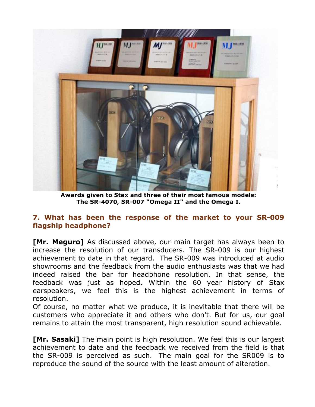

**Awards given to Stax and three of their most famous models: The SR-4070, SR-007 "Omega II" and the Omega I.**

# **7. What has been the response of the market to your SR-009 flagship headphone?**

**[Mr. Meguro]** As discussed above, our main target has always been to increase the resolution of our transducers. The SR-009 is our highest achievement to date in that regard. The SR-009 was introduced at audio showrooms and the feedback from the audio enthusiasts was that we had indeed raised the bar for headphone resolution. In that sense, the feedback was just as hoped. Within the 60 year history of Stax earspeakers, we feel this is the highest achievement in terms of resolution.

Of course, no matter what we produce, it is inevitable that there will be customers who appreciate it and others who don't. But for us, our goal remains to attain the most transparent, high resolution sound achievable.

**[Mr. Sasaki]** The main point is high resolution. We feel this is our largest achievement to date and the feedback we received from the field is that the SR-009 is perceived as such. The main goal for the SR009 is to reproduce the sound of the source with the least amount of alteration.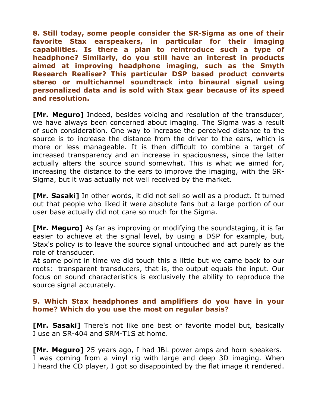**8. Still today, some people consider the SR-Sigma as one of their favorite Stax earspeakers, in particular for their imaging capabilities. Is there a plan to reintroduce such a type of headphone? Similarly, do you still have an interest in products aimed at improving headphone imaging, such as the Smyth Research Realiser? This particular DSP based product converts stereo or multichannel soundtrack into binaural signal using personalized data and is sold with Stax gear because of its speed and resolution.**

**[Mr. Meguro]** Indeed, besides voicing and resolution of the transducer, we have always been concerned about imaging. The Sigma was a result of such consideration. One way to increase the perceived distance to the source is to increase the distance from the driver to the ears, which is more or less manageable. It is then difficult to combine a target of increased transparency and an increase in spaciousness, since the latter actually alters the source sound somewhat. This is what we aimed for, increasing the distance to the ears to improve the imaging, with the SR-Sigma, but it was actually not well received by the market.

**[Mr. Sasaki]** In other words, it did not sell so well as a product. It turned out that people who liked it were absolute fans but a large portion of our user base actually did not care so much for the Sigma.

**[Mr. Meguro]** As far as improving or modifying the soundstaging, it is far easier to achieve at the signal level, by using a DSP for example, but, Stax's policy is to leave the source signal untouched and act purely as the role of transducer.

At some point in time we did touch this a little but we came back to our roots: transparent transducers, that is, the output equals the input. Our focus on sound characteristics is exclusively the ability to reproduce the source signal accurately.

# **9. Which Stax headphones and amplifiers do you have in your home? Which do you use the most on regular basis?**

**[Mr. Sasaki]** There's not like one best or favorite model but, basically I use an SR-404 and SRM-T1S at home.

**[Mr. Meguro]** 25 years ago, I had JBL power amps and horn speakers. I was coming from a vinyl rig with large and deep 3D imaging. When I heard the CD player, I got so disappointed by the flat image it rendered.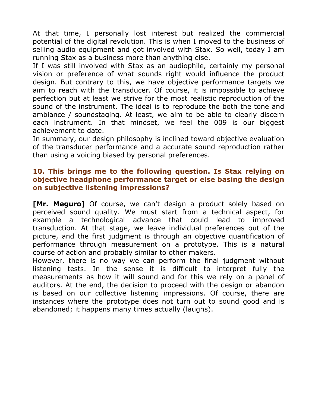At that time, I personally lost interest but realized the commercial potential of the digital revolution. This is when I moved to the business of selling audio equipment and got involved with Stax. So well, today I am running Stax as a business more than anything else.

If I was still involved with Stax as an audiophile, certainly my personal vision or preference of what sounds right would influence the product design. But contrary to this, we have objective performance targets we aim to reach with the transducer. Of course, it is impossible to achieve perfection but at least we strive for the most realistic reproduction of the sound of the instrument. The ideal is to reproduce the both the tone and ambiance / soundstaging. At least, we aim to be able to clearly discern each instrument. In that mindset, we feel the 009 is our biggest achievement to date.

In summary, our design philosophy is inclined toward objective evaluation of the transducer performance and a accurate sound reproduction rather than using a voicing biased by personal preferences.

#### **10. This brings me to the following question. Is Stax relying on objective headphone performance target or else basing the design on subjective listening impressions?**

**[Mr. Meguro]** Of course, we can't design a product solely based on perceived sound quality. We must start from a technical aspect, for example a technological advance that could lead to improved transduction. At that stage, we leave individual preferences out of the picture, and the first judgment is through an objective quantification of performance through measurement on a prototype. This is a natural course of action and probably similar to other makers.

However, there is no way we can perform the final judgment without listening tests. In the sense it is difficult to interpret fully the measurements as how it will sound and for this we rely on a panel of auditors. At the end, the decision to proceed with the design or abandon is based on our collective listening impressions. Of course, there are instances where the prototype does not turn out to sound good and is abandoned; it happens many times actually (laughs).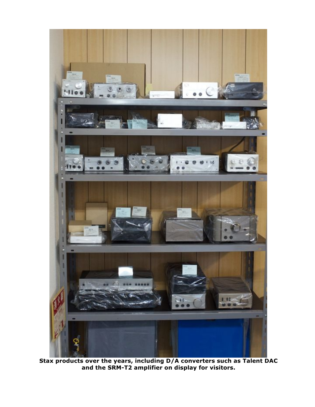

**Stax products over the years, including D/A converters such as Talent DAC and the SRM-T2 amplifier on display for visitors.**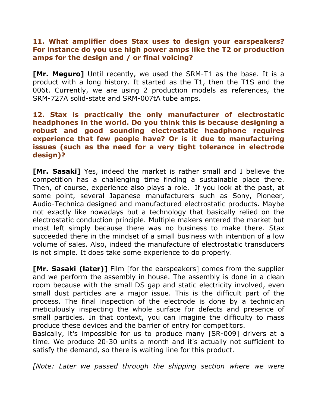#### **11. What amplifier does Stax uses to design your earspeakers? For instance do you use high power amps like the T2 or production amps for the design and / or final voicing?**

**[Mr. Meguro]** Until recently, we used the SRM-T1 as the base. It is a product with a long history. It started as the T1, then the T1S and the 006t. Currently, we are using 2 production models as references, the SRM-727A solid-state and SRM-007tA tube amps.

# **12. Stax is practically the only manufacturer of electrostatic headphones in the world. Do you think this is because designing a robust and good sounding electrostatic headphone requires experience that few people have? Or is it due to manufacturing issues (such as the need for a very tight tolerance in electrode design)?**

**[Mr. Sasaki]** Yes, indeed the market is rather small and I believe the competition has a challenging time finding a sustainable place there. Then, of course, experience also plays a role. If you look at the past, at some point, several Japanese manufacturers such as Sony, Pioneer, Audio-Technica designed and manufactured electrostatic products. Maybe not exactly like nowadays but a technology that basically relied on the electrostatic conduction principle. Multiple makers entered the market but most left simply because there was no business to make there. Stax succeeded there in the mindset of a small business with intention of a low volume of sales. Also, indeed the manufacture of electrostatic transducers is not simple. It does take some experience to do properly.

**[Mr. Sasaki (later)]** Film [for the earspeakers] comes from the supplier and we perform the assembly in house. The assembly is done in a clean room because with the small DS gap and static electricity involved, even small dust particles are a major issue. This is the difficult part of the process. The final inspection of the electrode is done by a technician meticulously inspecting the whole surface for defects and presence of small particles. In that context, you can imagine the difficulty to mass produce these devices and the barrier of entry for competitors.

Basically, it's impossible for us to produce many [SR-009] drivers at a time. We produce 20-30 units a month and it's actually not sufficient to satisfy the demand, so there is waiting line for this product.

*[Note: Later we passed through the shipping section where we were*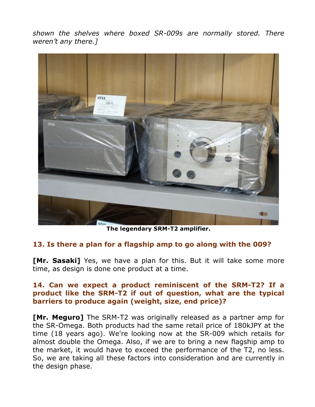*shown the shelves where boxed SR-009s are normally stored. There weren't any there.]*



**The legendary SRM-T2 amplifier.**

#### **13. Is there a plan for a flagship amp to go along with the 009?**

**[Mr. Sasaki]** Yes, we have a plan for this. But it will take some more time, as design is done one product at a time.

# **14. Can we expect a product reminiscent of the SRM-T2? If a product like the SRM-T2 if out of question, what are the typical barriers to produce again (weight, size, end price)?**

**[Mr. Meguro]** The SRM-T2 was originally released as a partner amp for the SR-Omega. Both products had the same retail price of 180kJPY at the time (18 years ago). We're looking now at the SR-009 which retails for almost double the Omega. Also, if we are to bring a new flagship amp to the market, it would have to exceed the performance of the T2, no less. So, we are taking all these factors into consideration and are currently in the design phase.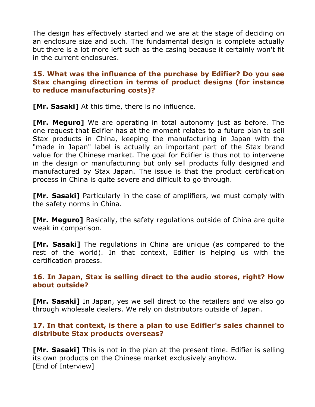The design has effectively started and we are at the stage of deciding on an enclosure size and such. The fundamental design is complete actually but there is a lot more left such as the casing because it certainly won't fit in the current enclosures.

# **15. What was the influence of the purchase by Edifier? Do you see Stax changing direction in terms of product designs (for instance to reduce manufacturing costs)?**

**[Mr. Sasaki]** At this time, there is no influence.

**[Mr. Meguro]** We are operating in total autonomy just as before. The one request that Edifier has at the moment relates to a future plan to sell Stax products in China, keeping the manufacturing in Japan with the "made in Japan" label is actually an important part of the Stax brand value for the Chinese market. The goal for Edifier is thus not to intervene in the design or manufacturing but only sell products fully designed and manufactured by Stax Japan. The issue is that the product certification process in China is quite severe and difficult to go through.

**[Mr. Sasaki]** Particularly in the case of amplifiers, we must comply with the safety norms in China.

**[Mr. Meguro]** Basically, the safety regulations outside of China are quite weak in comparison.

**[Mr. Sasaki]** The regulations in China are unique (as compared to the rest of the world). In that context, Edifier is helping us with the certification process.

# **16. In Japan, Stax is selling direct to the audio stores, right? How about outside?**

**[Mr. Sasaki]** In Japan, yes we sell direct to the retailers and we also go through wholesale dealers. We rely on distributors outside of Japan.

# **17. In that context, is there a plan to use Edifier's sales channel to distribute Stax products overseas?**

**[Mr. Sasaki]** This is not in the plan at the present time. Edifier is selling its own products on the Chinese market exclusively anyhow. [End of Interview]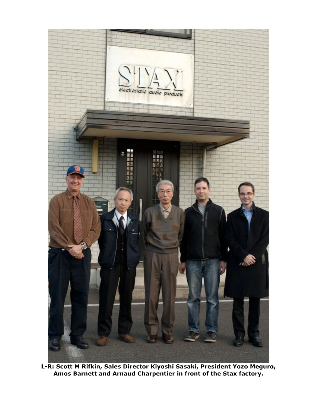

**L-R: Scott M Rifkin, Sales Director Kiyoshi Sasaki, President Yozo Meguro, Amos Barnett and Arnaud Charpentier in front of the Stax factory.**